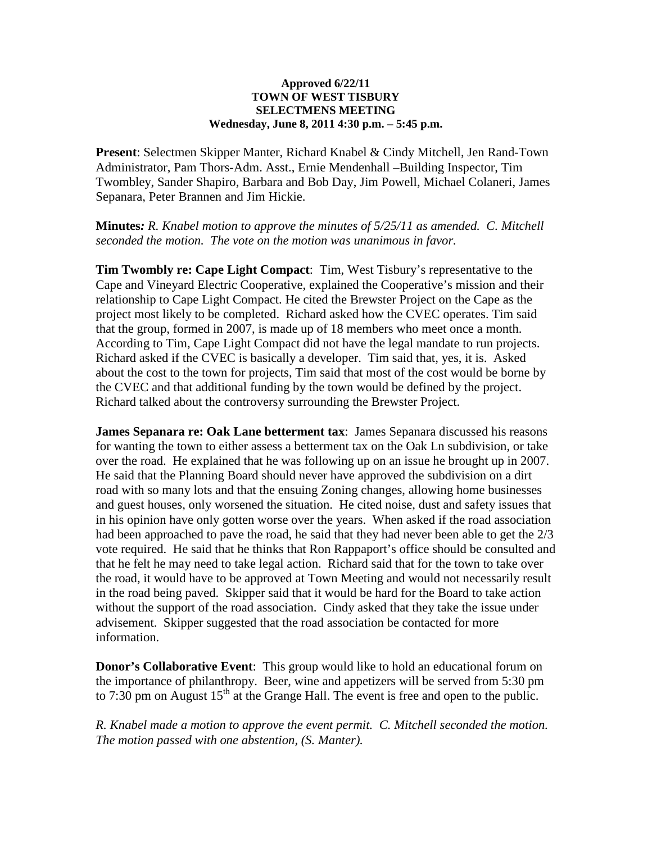## **Approved 6/22/11 TOWN OF WEST TISBURY SELECTMENS MEETING Wednesday, June 8, 2011 4:30 p.m. – 5:45 p.m.**

**Present**: Selectmen Skipper Manter, Richard Knabel & Cindy Mitchell, Jen Rand-Town Administrator, Pam Thors-Adm. Asst., Ernie Mendenhall –Building Inspector, Tim Twombley, Sander Shapiro, Barbara and Bob Day, Jim Powell, Michael Colaneri, James Sepanara, Peter Brannen and Jim Hickie.

**Minutes***: R. Knabel motion to approve the minutes of 5/25/11 as amended. C. Mitchell seconded the motion. The vote on the motion was unanimous in favor.*

**Tim Twombly re: Cape Light Compact**: Tim, West Tisbury's representative to the Cape and Vineyard Electric Cooperative, explained the Cooperative's mission and their relationship to Cape Light Compact. He cited the Brewster Project on the Cape as the project most likely to be completed. Richard asked how the CVEC operates. Tim said that the group, formed in 2007, is made up of 18 members who meet once a month. According to Tim, Cape Light Compact did not have the legal mandate to run projects. Richard asked if the CVEC is basically a developer. Tim said that, yes, it is. Asked about the cost to the town for projects, Tim said that most of the cost would be borne by the CVEC and that additional funding by the town would be defined by the project. Richard talked about the controversy surrounding the Brewster Project.

**James Sepanara re: Oak Lane betterment tax**: James Sepanara discussed his reasons for wanting the town to either assess a betterment tax on the Oak Ln subdivision, or take over the road. He explained that he was following up on an issue he brought up in 2007. He said that the Planning Board should never have approved the subdivision on a dirt road with so many lots and that the ensuing Zoning changes, allowing home businesses and guest houses, only worsened the situation. He cited noise, dust and safety issues that in his opinion have only gotten worse over the years. When asked if the road association had been approached to pave the road, he said that they had never been able to get the 2/3 vote required. He said that he thinks that Ron Rappaport's office should be consulted and that he felt he may need to take legal action. Richard said that for the town to take over the road, it would have to be approved at Town Meeting and would not necessarily result in the road being paved. Skipper said that it would be hard for the Board to take action without the support of the road association. Cindy asked that they take the issue under advisement. Skipper suggested that the road association be contacted for more information.

**Donor's Collaborative Event**: This group would like to hold an educational forum on the importance of philanthropy. Beer, wine and appetizers will be served from 5:30 pm to 7:30 pm on August  $15<sup>th</sup>$  at the Grange Hall. The event is free and open to the public.

*R. Knabel made a motion to approve the event permit. C. Mitchell seconded the motion. The motion passed with one abstention, (S. Manter).*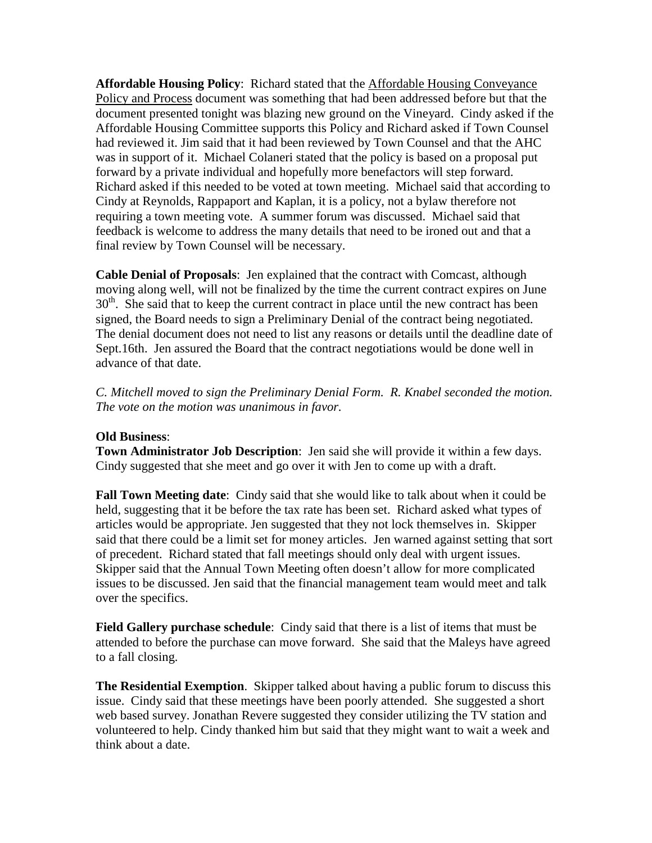**Affordable Housing Policy**: Richard stated that the Affordable Housing Conveyance Policy and Process document was something that had been addressed before but that the document presented tonight was blazing new ground on the Vineyard. Cindy asked if the Affordable Housing Committee supports this Policy and Richard asked if Town Counsel had reviewed it. Jim said that it had been reviewed by Town Counsel and that the AHC was in support of it. Michael Colaneri stated that the policy is based on a proposal put forward by a private individual and hopefully more benefactors will step forward. Richard asked if this needed to be voted at town meeting. Michael said that according to Cindy at Reynolds, Rappaport and Kaplan, it is a policy, not a bylaw therefore not requiring a town meeting vote. A summer forum was discussed. Michael said that feedback is welcome to address the many details that need to be ironed out and that a final review by Town Counsel will be necessary.

**Cable Denial of Proposals**: Jen explained that the contract with Comcast, although moving along well, will not be finalized by the time the current contract expires on June  $30<sup>th</sup>$ . She said that to keep the current contract in place until the new contract has been signed, the Board needs to sign a Preliminary Denial of the contract being negotiated. The denial document does not need to list any reasons or details until the deadline date of Sept.16th. Jen assured the Board that the contract negotiations would be done well in advance of that date.

*C. Mitchell moved to sign the Preliminary Denial Form. R. Knabel seconded the motion. The vote on the motion was unanimous in favor.* 

## **Old Business**:

**Town Administrator Job Description**: Jen said she will provide it within a few days. Cindy suggested that she meet and go over it with Jen to come up with a draft.

**Fall Town Meeting date**: Cindy said that she would like to talk about when it could be held, suggesting that it be before the tax rate has been set. Richard asked what types of articles would be appropriate. Jen suggested that they not lock themselves in. Skipper said that there could be a limit set for money articles. Jen warned against setting that sort of precedent. Richard stated that fall meetings should only deal with urgent issues. Skipper said that the Annual Town Meeting often doesn't allow for more complicated issues to be discussed. Jen said that the financial management team would meet and talk over the specifics.

**Field Gallery purchase schedule**: Cindy said that there is a list of items that must be attended to before the purchase can move forward. She said that the Maleys have agreed to a fall closing.

**The Residential Exemption**. Skipper talked about having a public forum to discuss this issue. Cindy said that these meetings have been poorly attended. She suggested a short web based survey. Jonathan Revere suggested they consider utilizing the TV station and volunteered to help. Cindy thanked him but said that they might want to wait a week and think about a date.